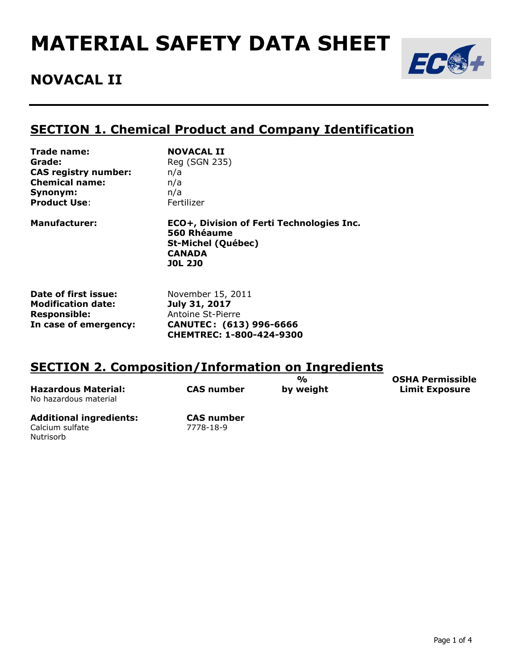# **MATERIAL SAFETY DATA SHEET**



## **NOVACAL II**

Nutrisorb

#### **SECTION 1. Chemical Product and Company Identification**

| Trade name:                 | <b>NOVACAL II</b>                                                                                                        |
|-----------------------------|--------------------------------------------------------------------------------------------------------------------------|
| Grade:                      | Reg (SGN 235)                                                                                                            |
| <b>CAS registry number:</b> | n/a                                                                                                                      |
| <b>Chemical name:</b>       | n/a                                                                                                                      |
| Synonym:                    | n/a                                                                                                                      |
| <b>Product Use:</b>         | Fertilizer                                                                                                               |
| <b>Manufacturer:</b>        | ECO+, Division of Ferti Technologies Inc.<br>560 Rhéaume<br><b>St-Michel (Québec)</b><br><b>CANADA</b><br><b>JOL 2JO</b> |

| Date of first issue:      | November 15, 2011        |
|---------------------------|--------------------------|
| <b>Modification date:</b> | July 31, 2017            |
| <b>Responsible:</b>       | Antoine St-Pierre        |
| In case of emergency:     | CANUTEC: (613) 996-6666  |
|                           | CHEMTREC: 1-800-424-9300 |

#### **SECTION 2. Composition/Information on Ingredients**

| <b>Hazardous Material:</b><br>No hazardous material | <b>CAS number</b> | $\frac{O}{O}$<br>by weight | <b>OSHA Permissible</b><br><b>Limit Exposure</b> |
|-----------------------------------------------------|-------------------|----------------------------|--------------------------------------------------|
| <b>Additional ingredients:</b>                      | <b>CAS number</b> |                            |                                                  |
| Calcium sulfate                                     | 7778-18-9         |                            |                                                  |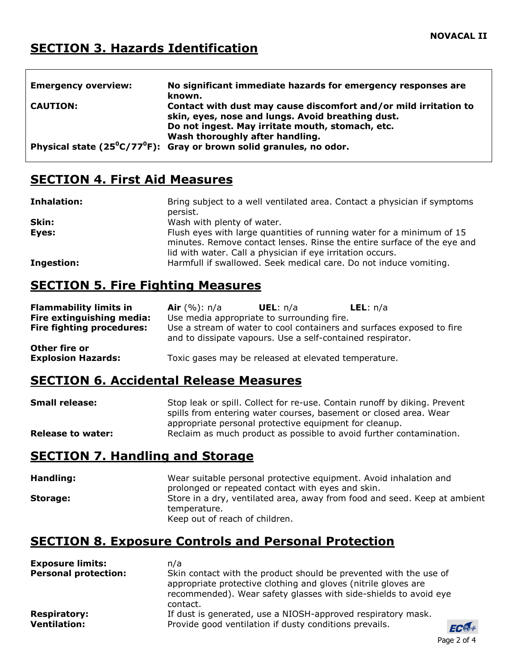### **SECTION 3. Hazards Identification**

| <b>Emergency overview:</b> | No significant immediate hazards for emergency responses are<br>known.                                                                                                    |
|----------------------------|---------------------------------------------------------------------------------------------------------------------------------------------------------------------------|
| <b>CAUTION:</b>            | Contact with dust may cause discomfort and/or mild irritation to<br>skin, eyes, nose and lungs. Avoid breathing dust.<br>Do not ingest. May irritate mouth, stomach, etc. |
|                            | Wash thoroughly after handling.<br>Physical state ( $25^{\circ}$ C/77 <sup>°</sup> F): Gray or brown solid granules, no odor.                                             |

#### **SECTION 4. First Aid Measures**

| Inhalation: | Bring subject to a well ventilated area. Contact a physician if symptoms<br>persist.                                                                                                                           |
|-------------|----------------------------------------------------------------------------------------------------------------------------------------------------------------------------------------------------------------|
| Skin:       | Wash with plenty of water.                                                                                                                                                                                     |
| Eyes:       | Flush eyes with large quantities of running water for a minimum of 15<br>minutes. Remove contact lenses. Rinse the entire surface of the eye and<br>lid with water. Call a physician if eye irritation occurs. |
| Ingestion:  | Harmfull if swallowed. Seek medical care. Do not induce vomiting.                                                                                                                                              |

#### **SECTION 5. Fire Fighting Measures**

| <b>Flammability limits in</b>              | <b>Air</b> $(\%)$ : n/a                                                                                                             | <b>UEL</b> : $n/a$                                   | <b>LEL</b> : $n/a$ |  |
|--------------------------------------------|-------------------------------------------------------------------------------------------------------------------------------------|------------------------------------------------------|--------------------|--|
| Fire extinguishing media:                  |                                                                                                                                     | Use media appropriate to surrounding fire.           |                    |  |
| <b>Fire fighting procedures:</b>           | Use a stream of water to cool containers and surfaces exposed to fire<br>and to dissipate vapours. Use a self-contained respirator. |                                                      |                    |  |
| Other fire or<br><b>Explosion Hazards:</b> |                                                                                                                                     | Toxic gases may be released at elevated temperature. |                    |  |

## **SECTION 6. Accidental Release Measures**

| <b>Small release:</b>    | Stop leak or spill. Collect for re-use. Contain runoff by diking. Prevent<br>spills from entering water courses, basement or closed area. Wear |
|--------------------------|------------------------------------------------------------------------------------------------------------------------------------------------|
| <b>Release to water:</b> | appropriate personal protective equipment for cleanup.<br>Reclaim as much product as possible to avoid further contamination.                  |

#### **SECTION 7. Handling and Storage**

| Handling: | Wear suitable personal protective equipment. Avoid inhalation and<br>prolonged or repeated contact with eyes and skin. |
|-----------|------------------------------------------------------------------------------------------------------------------------|
| Storage:  | Store in a dry, ventilated area, away from food and seed. Keep at ambient<br>temperature.                              |
|           | Keep out of reach of children.                                                                                         |

#### **SECTION 8. Exposure Controls and Personal Protection**

| <b>Exposure limits:</b>     | n/a                                                                                                                                                                                                                 |    |  |
|-----------------------------|---------------------------------------------------------------------------------------------------------------------------------------------------------------------------------------------------------------------|----|--|
| <b>Personal protection:</b> | Skin contact with the product should be prevented with the use of<br>appropriate protective clothing and gloves (nitrile gloves are<br>recommended). Wear safety glasses with side-shields to avoid eye<br>contact. |    |  |
| <b>Respiratory:</b>         | If dust is generated, use a NIOSH-approved respiratory mask.                                                                                                                                                        |    |  |
| <b>Ventilation:</b>         | Provide good ventilation if dusty conditions prevails.                                                                                                                                                              | Fl |  |

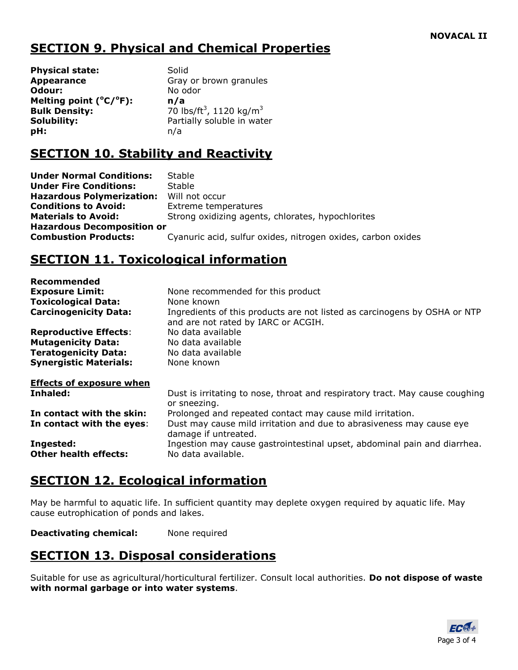### **SECTION 9. Physical and Chemical Properties**

**Physical state:** Solid **Appearance Gray or brown granules Odour:** No odor **Melting point (<sup>o</sup>C/<sup>o</sup>F): n/a Bulk Density: pH:** n/a

70 lbs/ft<sup>3</sup>, 1120 kg/m<sup>3</sup> **Solubility:** Partially soluble in water

#### **SECTION 10. Stability and Reactivity**

**Under Normal Conditions:** Stable **Under Fire Conditions:** Stable **Hazardous Polymerization:** Will not occur **Conditions to Avoid:** Extreme temperatures **Materials to Avoid:** Strong oxidizing agents, chlorates, hypochlorites **Hazardous Decomposition or Combustion Products:** Cyanuric acid, sulfur oxides, nitrogen oxides, carbon oxides

## **SECTION 11. Toxicological information**

| None recommended for this product                                                                                |
|------------------------------------------------------------------------------------------------------------------|
| None known                                                                                                       |
| Ingredients of this products are not listed as carcinogens by OSHA or NTP<br>and are not rated by IARC or ACGIH. |
| No data available                                                                                                |
| No data available                                                                                                |
| No data available                                                                                                |
| None known                                                                                                       |
|                                                                                                                  |
| Dust is irritating to nose, throat and respiratory tract. May cause coughing<br>or sneezing.                     |
| Prolonged and repeated contact may cause mild irritation.                                                        |
| Dust may cause mild irritation and due to abrasiveness may cause eye<br>damage if untreated.                     |
| Ingestion may cause gastrointestinal upset, abdominal pain and diarrhea.<br>No data available.                   |
|                                                                                                                  |

#### **SECTION 12. Ecological information**

May be harmful to aquatic life. In sufficient quantity may deplete oxygen required by aquatic life. May cause eutrophication of ponds and lakes.

**Deactivating chemical:** None required

#### **SECTION 13. Disposal considerations**

Suitable for use as agricultural/horticultural fertilizer. Consult local authorities. **Do not dispose of waste with normal garbage or into water systems**.